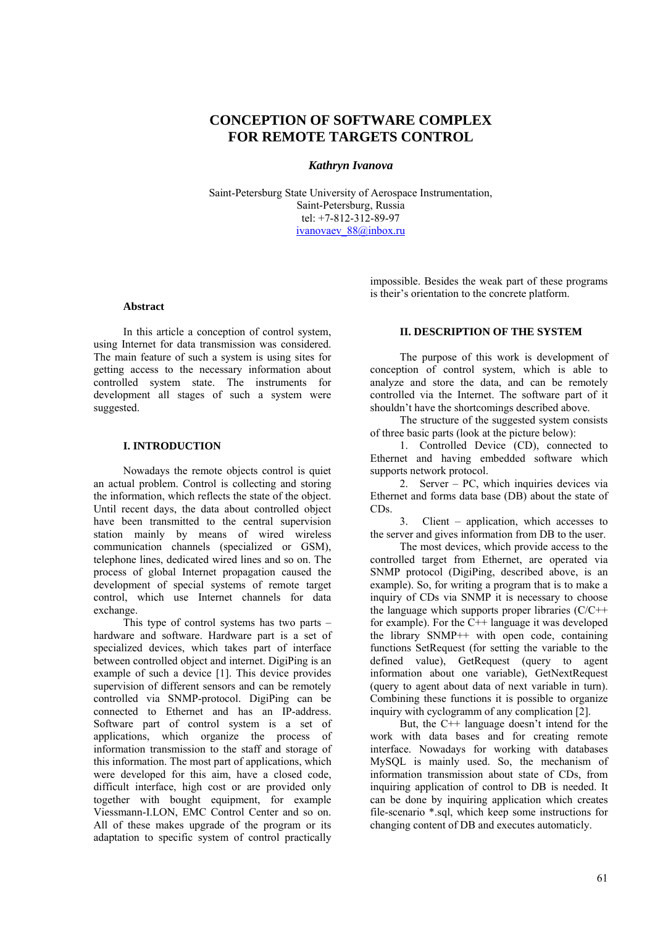# **CONCEPTION OF SOFTWARE COMPLEX FOR REMOTE TARGETS CONTROL**

### *Kathryn Ivanova*

Saint-Petersburg State University of Aerospace Instrumentation, Saint-Petersburg, Russia tel: +7-812-312-89-97 ivanovaev 88@inbox.ru

#### **Abstract**

In this article a conception of control system, using Internet for data transmission was considered. The main feature of such a system is using sites for getting access to the necessary information about controlled system state. The instruments for development all stages of such a system were suggested.

## **I. INTRODUCTION**

Nowadays the remote objects control is quiet an actual problem. Control is collecting and storing the information, which reflects the state of the object. Until recent days, the data about controlled object have been transmitted to the central supervision station mainly by means of wired wireless communication channels (specialized or GSM), telephone lines, dedicated wired lines and so on. The process of global Internet propagation caused the development of special systems of remote target control, which use Internet channels for data exchange.

This type of control systems has two parts – hardware and software. Hardware part is a set of specialized devices, which takes part of interface between controlled object and internet. DigiPing is an example of such a device [1]. This device provides supervision of different sensors and can be remotely controlled via SNMP-protocol. DigiPing can be connected to Ethernet and has an IP-address. Software part of control system is a set of applications, which organize the process of information transmission to the staff and storage of this information. The most part of applications, which were developed for this aim, have a closed code, difficult interface, high cost or are provided only together with bought equipment, for example Viessmann-I.LON, EMC Control Center and so on. All of these makes upgrade of the program or its adaptation to specific system of control practically

impossible. Besides the weak part of these programs is their's orientation to the concrete platform.

### **II. DESCRIPTION OF THE SYSTEM**

The purpose of this work is development of conception of control system, which is able to analyze and store the data, and can be remotely controlled via the Internet. The software part of it shouldn't have the shortcomings described above.

The structure of the suggested system consists of three basic parts (look at the picture below):

1. Controlled Device (CD), connected to Ethernet and having embedded software which supports network protocol.

2. Server – PC, which inquiries devices via Ethernet and forms data base (DB) about the state of CDs.

3. Client – application, which accesses to the server and gives information from DB to the user.

The most devices, which provide access to the controlled target from Ethernet, are operated via SNMP protocol (DigiPing, described above, is an example). So, for writing a program that is to make a inquiry of CDs via SNMP it is necessary to choose the language which supports proper libraries  $(C/C++)$ for example). For the  $C_{++}$  language it was developed the library SNMP++ with open code, containing functions SetRequest (for setting the variable to the defined value), GetRequest (query to agent information about one variable), GetNextRequest (query to agent about data of next variable in turn). Combining these functions it is possible to organize inquiry with cyclogramm of any complication [2].

But, the C++ language doesn't intend for the work with data bases and for creating remote interface. Nowadays for working with databases MySQL is mainly used. So, the mechanism of information transmission about state of CDs, from inquiring application of control to DB is needed. It can be done by inquiring application which creates file-scenario \*.sql, which keep some instructions for changing content of DB and executes automaticly.